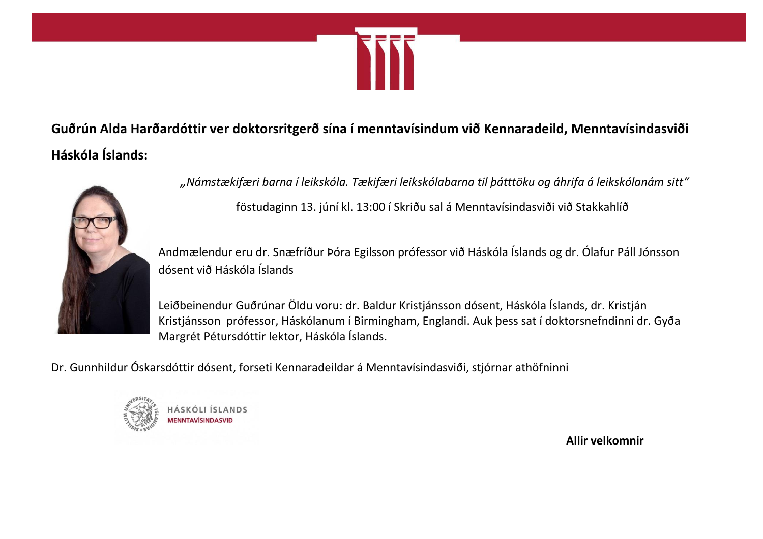

**Guðrún Alda Harðardóttir ver doktorsritgerð sína í menntavísindum við Kennaradeild, Menntavísindasviði Háskóla Íslands:**



*"Námstækifæri barna í leikskóla. Tækifæri leikskólabarna til þátttöku og áhrifa á leikskólanám sitt"*

föstudaginn 13. júní kl. 13:00 í Skriðu sal á Menntavísindasviði við Stakkahlíð

Andmælendur eru dr. Snæfríður Þóra Egilsson prófessor við Háskóla Íslands og dr. Ólafur Páll Jónsson dósent við Háskóla Íslands

Leiðbeinendur Guðrúnar Öldu voru: dr. Baldur Kristjánsson dósent, Háskóla Íslands, dr. Kristján Kristjánsson prófessor, Háskólanum í Birmingham, Englandi. Auk þess sat í doktorsnefndinni dr. Gyða Margrét Pétursdóttir lektor, Háskóla Íslands.

Dr. Gunnhildur Óskarsdóttir dósent, forseti Kennaradeildar á Menntavísindasviði, stjórnar athöfninni



SKÓLLÍSLANDS

**Allir velkomnir**